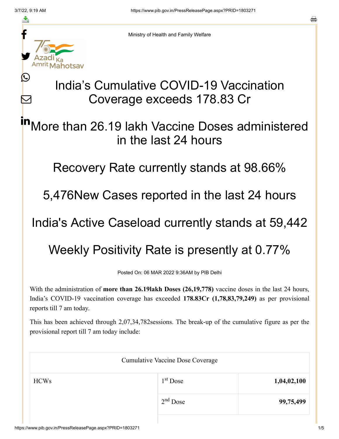≛

Ŀ

 $\bm{\nabla}$ 

Ministry of Health and Family Welfare

## India's Cumulative COVID-19 Vaccination Coverage exceeds 178.83 Cr

More than 26.19 lakh Vaccine Doses administered in the last 24 hours in

Recovery Rate currently stands at 98.66%

5,476New Cases reported in the last 24 hours

India's Active Caseload currently stands at 59,442

Weekly Positivity Rate is presently at 0.77%

Posted On: 06 MAR 2022 9:36AM by PIB Delhi

With the administration of **more than 26.19lakh Doses (26,19,778)** vaccine doses in the last 24 hours, India's COVID-19 vaccination coverage has exceeded **178.83Cr (1,78,83,79,249)** as per provisional reports till 7 am today.

This has been achieved through 2,07,34,782sessions. The break-up of the cumulative figure as per the provisional report till 7 am today include:

| <b>Cumulative Vaccine Dose Coverage</b> |             |  |  |
|-----------------------------------------|-------------|--|--|
| $1st$ Dose                              | 1,04,02,100 |  |  |
| $2nd$ Dose                              | 99,75,499   |  |  |
|                                         |             |  |  |

a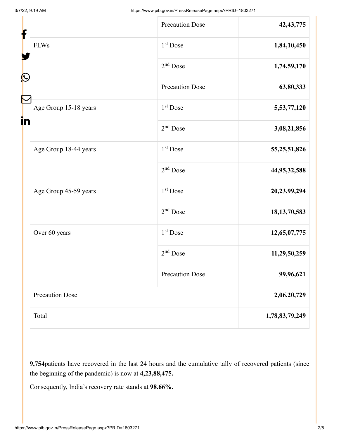| ╊<br>Ŀ |                        | <b>Precaution Dose</b> | 42, 43, 775     |
|--------|------------------------|------------------------|-----------------|
|        | <b>FLWs</b>            | $1st$ Dose             | 1,84,10,450     |
|        |                        | $2nd$ Dose             | 1,74,59,170     |
|        |                        | <b>Precaution Dose</b> | 63,80,333       |
| in     | Age Group 15-18 years  | 1 <sup>st</sup> Dose   | 5,53,77,120     |
|        |                        | $2nd$ Dose             | 3,08,21,856     |
|        | Age Group 18-44 years  | 1 <sup>st</sup> Dose   | 55, 25, 51, 826 |
|        |                        | $2nd$ Dose             | 44,95,32,588    |
|        | Age Group 45-59 years  | $1st$ Dose             | 20,23,99,294    |
|        |                        | $2nd$ Dose             | 18, 13, 70, 583 |
|        | Over 60 years          | $1st$ Dose             | 12,65,07,775    |
|        |                        | $2nd$ Dose             | 11,29,50,259    |
|        |                        | <b>Precaution Dose</b> | 99,96,621       |
|        | <b>Precaution Dose</b> |                        | 2,06,20,729     |
|        | Total                  |                        | 1,78,83,79,249  |

**9,754**patients have recovered in the last 24 hours and the cumulative tally of recovered patients (since the beginning of the pandemic) is now at **4,23,88,475.**

Consequently, India's recovery rate stands at **98.66%.**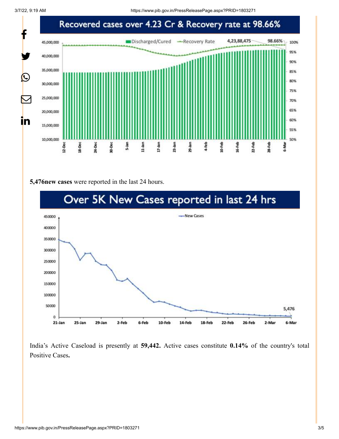3/7/22, 9:19 AM https://www.pib.gov.in/PressReleasePage.aspx?PRID=1803271



## **5,476new cases** were reported in the last 24 hours.



India's Active Caseload is presently at **59,442.** Active cases constitute **0.14%** of the country's total Positive Cases**.**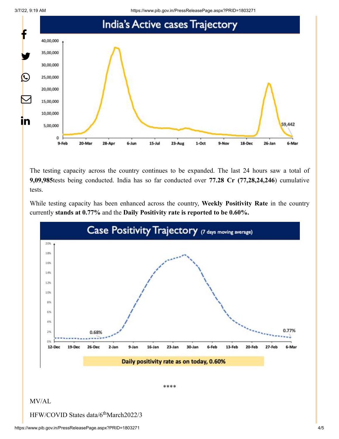3/7/22, 9:19 AM https://www.pib.gov.in/PressReleasePage.aspx?PRID=1803271



The testing capacity across the country continues to be expanded. The last 24 hours saw a total of **9,09,985**tests being conducted. India has so far conducted over **77.28 Cr (77,28,24,246**) cumulative tests.

While testing capacity has been enhanced across the country, **Weekly Positivity Rate** in the country currently **stands at 0.77%** and the **Daily Positivity rate is reported to be 0.60%.**